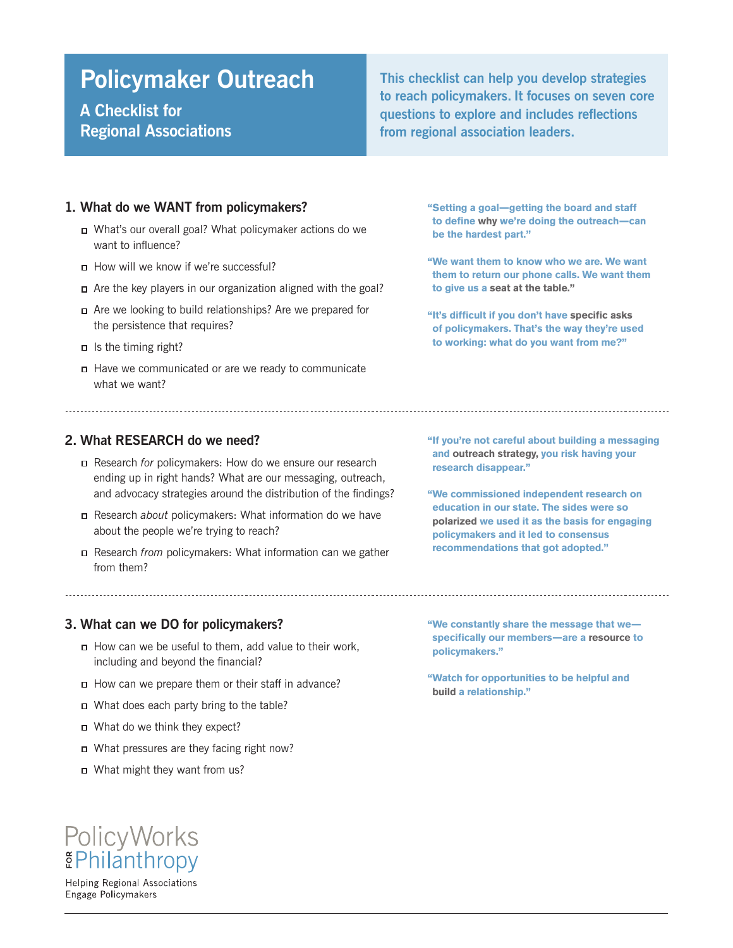# **Policymaker Outreach**

# **A Checklist for Regional Associations**

**This checklist can help you develop strategies to reach policymakers. It focuses on seven core questions to explore and includes reflections from regional association leaders.**

#### **1. What do we WANT from policymakers?**

- What's our overall goal? What policymaker actions do we want to influence?
- How will we know if we're successful?
- Are the key players in our organization aligned with the goal?
- Are we looking to build relationships? Are we prepared for the persistence that requires?
- $\Box$  Is the timing right?
- Have we communicated or are we ready to communicate what we want?

### **2. What RESEARCH do we need?**

- Research *for* policymakers: How do we ensure our research ending up in right hands? What are our messaging, outreach, and advocacy strategies around the distribution of the findings?
- Research *about* policymakers: What information do we have about the people we're trying to reach?
- Research *from* policymakers: What information can we gather from them?

**"Setting a goal—getting the board and staff to define why we're doing the outreach—can be the hardest part."**

**"We want them to know who we are. We want them to return our phone calls. We want them to give us a seat at the table."**

**"It's difficult if you don't have specific asks of policymakers. That's the way they're used to working: what do you want from me?"**

**"If you're not careful about building a messaging and outreach strategy, you risk having your research disappear."** 

**"We commissioned independent research on education in our state. The sides were so polarized we used it as the basis for engaging policymakers and it led to consensus recommendations that got adopted."**

#### **3. What can we DO for policymakers?**

- How can we be useful to them, add value to their work, including and beyond the financial?
- How can we prepare them or their staff in advance?
- What does each party bring to the table?
- □ What do we think they expect?
- What pressures are they facing right now?
- What might they want from us?

**"We constantly share the message that we specifically our members—are a resource to policymakers."**

**"Watch for opportunities to be helpful and build a relationship."**

# PolicyWorks **EPhilanthropy**

**Helping Regional Associations** Engage Policymakers